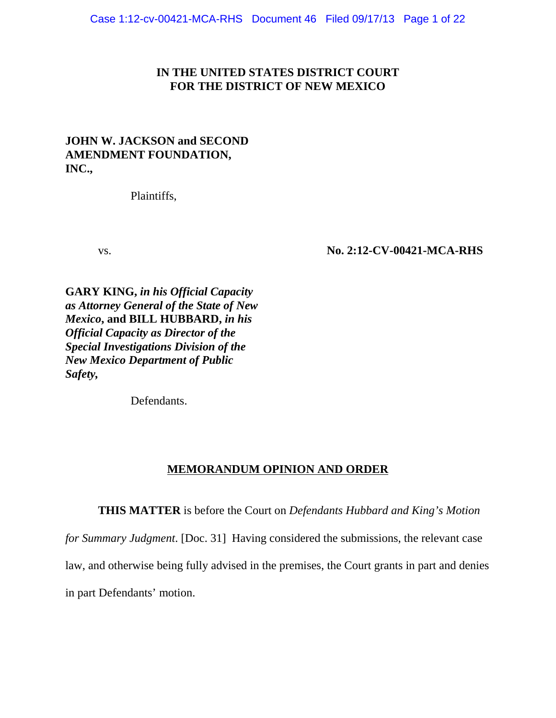## **IN THE UNITED STATES DISTRICT COURT FOR THE DISTRICT OF NEW MEXICO**

## **JOHN W. JACKSON and SECOND AMENDMENT FOUNDATION, INC.,**

Plaintiffs,

## vs. **No. 2:12-CV-00421-MCA-RHS**

**GARY KING,** *in his Official Capacity as Attorney General of the State of New Mexico***, and BILL HUBBARD,** *in his Official Capacity as Director of the Special Investigations Division of the New Mexico Department of Public Safety,*

Defendants.

## **MEMORANDUM OPINION AND ORDER**

**THIS MATTER** is before the Court on *Defendants Hubbard and King's Motion*

*for Summary Judgment*. [Doc. 31] Having considered the submissions, the relevant case law, and otherwise being fully advised in the premises, the Court grants in part and denies in part Defendants' motion.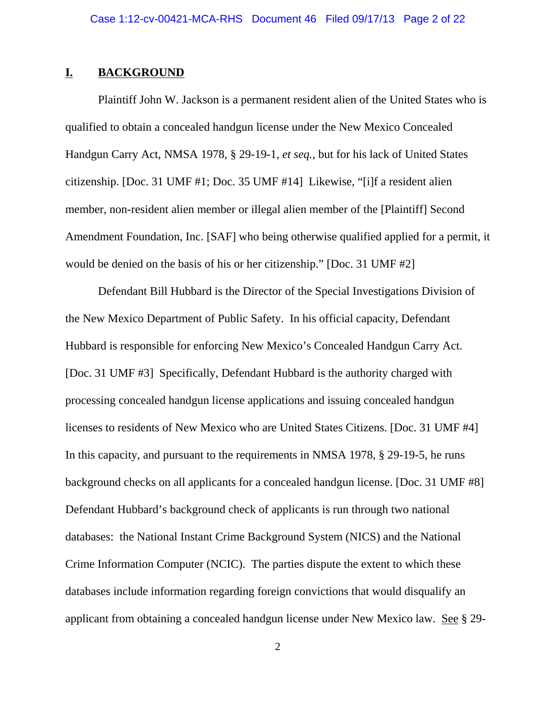## **I. BACKGROUND**

Plaintiff John W. Jackson is a permanent resident alien of the United States who is qualified to obtain a concealed handgun license under the New Mexico Concealed Handgun Carry Act, NMSA 1978, § 29-19-1, *et seq.*, but for his lack of United States citizenship. [Doc. 31 UMF #1; Doc. 35 UMF #14] Likewise, "[i]f a resident alien member, non-resident alien member or illegal alien member of the [Plaintiff] Second Amendment Foundation, Inc. [SAF] who being otherwise qualified applied for a permit, it would be denied on the basis of his or her citizenship." [Doc. 31 UMF #2]

Defendant Bill Hubbard is the Director of the Special Investigations Division of the New Mexico Department of Public Safety. In his official capacity, Defendant Hubbard is responsible for enforcing New Mexico's Concealed Handgun Carry Act. [Doc. 31 UMF #3] Specifically, Defendant Hubbard is the authority charged with processing concealed handgun license applications and issuing concealed handgun licenses to residents of New Mexico who are United States Citizens. [Doc. 31 UMF #4] In this capacity, and pursuant to the requirements in NMSA 1978, § 29-19-5, he runs background checks on all applicants for a concealed handgun license. [Doc. 31 UMF #8] Defendant Hubbard's background check of applicants is run through two national databases: the National Instant Crime Background System (NICS) and the National Crime Information Computer (NCIC). The parties dispute the extent to which these databases include information regarding foreign convictions that would disqualify an applicant from obtaining a concealed handgun license under New Mexico law. See § 29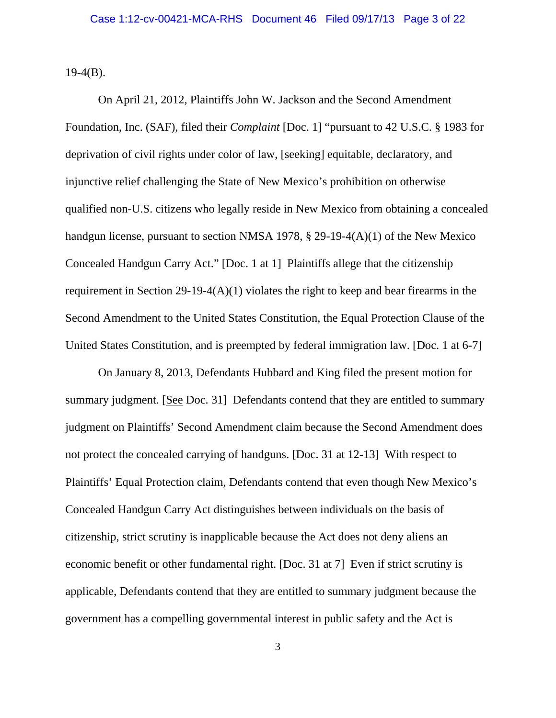$19-4(B)$ .

On April 21, 2012, Plaintiffs John W. Jackson and the Second Amendment Foundation, Inc. (SAF), filed their *Complaint* [Doc. 1] "pursuant to 42 U.S.C. § 1983 for deprivation of civil rights under color of law, [seeking] equitable, declaratory, and injunctive relief challenging the State of New Mexico's prohibition on otherwise qualified non-U.S. citizens who legally reside in New Mexico from obtaining a concealed handgun license, pursuant to section NMSA 1978, § 29-19-4(A)(1) of the New Mexico Concealed Handgun Carry Act." [Doc. 1 at 1] Plaintiffs allege that the citizenship requirement in Section 29-19-4(A)(1) violates the right to keep and bear firearms in the Second Amendment to the United States Constitution, the Equal Protection Clause of the United States Constitution, and is preempted by federal immigration law. [Doc. 1 at 6-7]

On January 8, 2013, Defendants Hubbard and King filed the present motion for summary judgment. [See Doc. 31] Defendants contend that they are entitled to summary judgment on Plaintiffs' Second Amendment claim because the Second Amendment does not protect the concealed carrying of handguns. [Doc. 31 at 12-13] With respect to Plaintiffs' Equal Protection claim, Defendants contend that even though New Mexico's Concealed Handgun Carry Act distinguishes between individuals on the basis of citizenship, strict scrutiny is inapplicable because the Act does not deny aliens an economic benefit or other fundamental right. [Doc. 31 at 7] Even if strict scrutiny is applicable, Defendants contend that they are entitled to summary judgment because the government has a compelling governmental interest in public safety and the Act is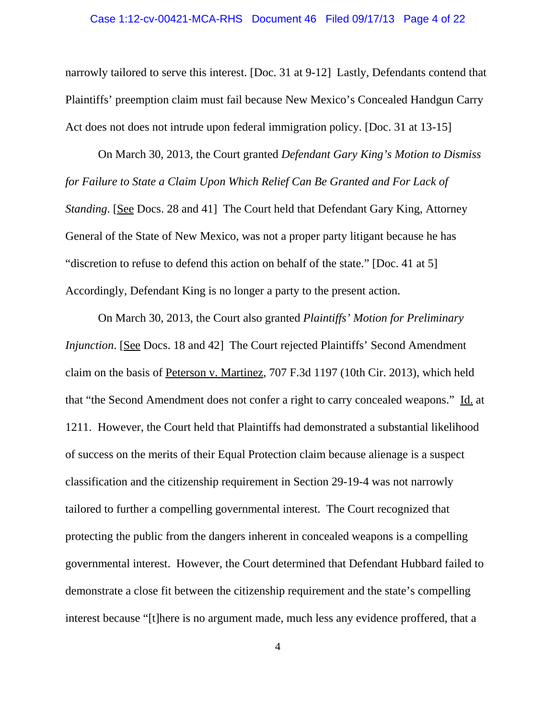#### Case 1:12-cv-00421-MCA-RHS Document 46 Filed 09/17/13 Page 4 of 22

narrowly tailored to serve this interest. [Doc. 31 at 9-12] Lastly, Defendants contend that Plaintiffs' preemption claim must fail because New Mexico's Concealed Handgun Carry Act does not does not intrude upon federal immigration policy. [Doc. 31 at 13-15]

On March 30, 2013, the Court granted *Defendant Gary King's Motion to Dismiss for Failure to State a Claim Upon Which Relief Can Be Granted and For Lack of Standing*. [See Docs. 28 and 41] The Court held that Defendant Gary King, Attorney General of the State of New Mexico, was not a proper party litigant because he has "discretion to refuse to defend this action on behalf of the state." [Doc. 41 at 5] Accordingly, Defendant King is no longer a party to the present action.

On March 30, 2013, the Court also granted *Plaintiffs' Motion for Preliminary Injunction*. [See Docs. 18 and 42] The Court rejected Plaintiffs' Second Amendment claim on the basis of Peterson v. Martinez, 707 F.3d 1197 (10th Cir. 2013), which held that "the Second Amendment does not confer a right to carry concealed weapons." Id. at 1211. However, the Court held that Plaintiffs had demonstrated a substantial likelihood of success on the merits of their Equal Protection claim because alienage is a suspect classification and the citizenship requirement in Section 29-19-4 was not narrowly tailored to further a compelling governmental interest. The Court recognized that protecting the public from the dangers inherent in concealed weapons is a compelling governmental interest. However, the Court determined that Defendant Hubbard failed to demonstrate a close fit between the citizenship requirement and the state's compelling interest because "[t]here is no argument made, much less any evidence proffered, that a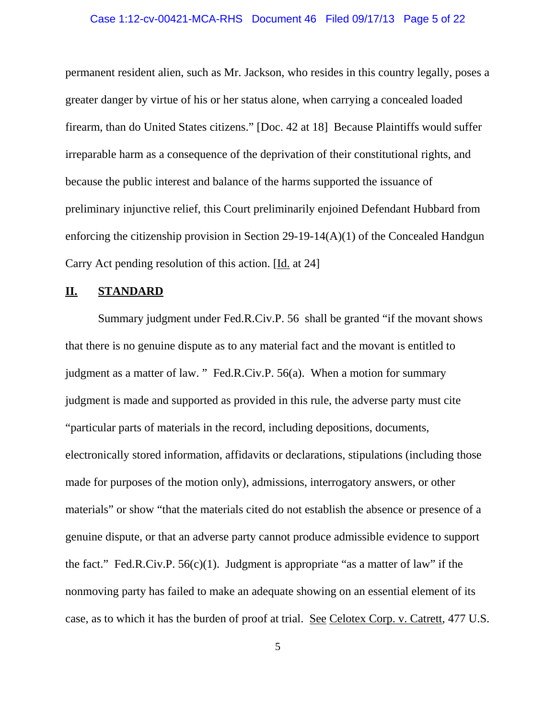#### Case 1:12-cv-00421-MCA-RHS Document 46 Filed 09/17/13 Page 5 of 22

permanent resident alien, such as Mr. Jackson, who resides in this country legally, poses a greater danger by virtue of his or her status alone, when carrying a concealed loaded firearm, than do United States citizens." [Doc. 42 at 18] Because Plaintiffs would suffer irreparable harm as a consequence of the deprivation of their constitutional rights, and because the public interest and balance of the harms supported the issuance of preliminary injunctive relief, this Court preliminarily enjoined Defendant Hubbard from enforcing the citizenship provision in Section 29-19-14(A)(1) of the Concealed Handgun Carry Act pending resolution of this action. [Id. at 24]

## **II. STANDARD**

Summary judgment under Fed.R.Civ.P. 56 shall be granted "if the movant shows that there is no genuine dispute as to any material fact and the movant is entitled to judgment as a matter of law. " Fed.R.Civ.P. 56(a). When a motion for summary judgment is made and supported as provided in this rule, the adverse party must cite "particular parts of materials in the record, including depositions, documents, electronically stored information, affidavits or declarations, stipulations (including those made for purposes of the motion only), admissions, interrogatory answers, or other materials" or show "that the materials cited do not establish the absence or presence of a genuine dispute, or that an adverse party cannot produce admissible evidence to support the fact." Fed.R.Civ.P.  $56(c)(1)$ . Judgment is appropriate "as a matter of law" if the nonmoving party has failed to make an adequate showing on an essential element of its case, as to which it has the burden of proof at trial. See Celotex Corp. v. Catrett, 477 U.S.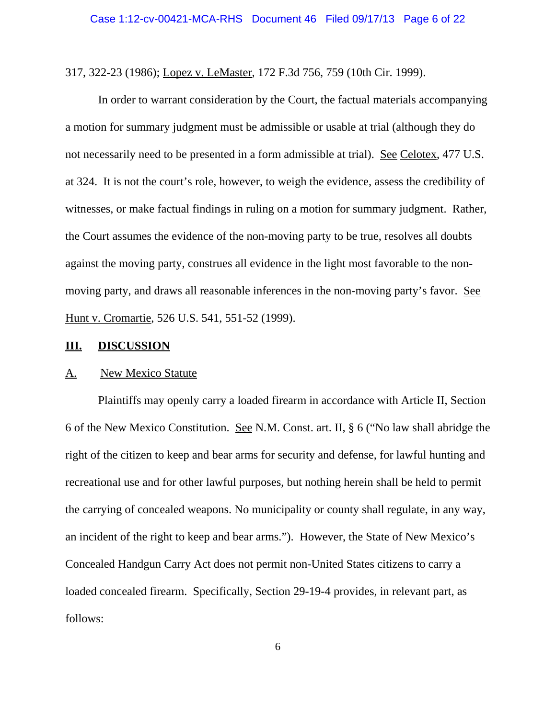317, 322-23 (1986); Lopez v. LeMaster, 172 F.3d 756, 759 (10th Cir. 1999).

In order to warrant consideration by the Court, the factual materials accompanying a motion for summary judgment must be admissible or usable at trial (although they do not necessarily need to be presented in a form admissible at trial). See Celotex, 477 U.S. at 324. It is not the court's role, however, to weigh the evidence, assess the credibility of witnesses, or make factual findings in ruling on a motion for summary judgment. Rather, the Court assumes the evidence of the non-moving party to be true, resolves all doubts against the moving party, construes all evidence in the light most favorable to the nonmoving party, and draws all reasonable inferences in the non-moving party's favor. See Hunt v. Cromartie, 526 U.S. 541, 551-52 (1999).

## **III. DISCUSSION**

#### A. New Mexico Statute

Plaintiffs may openly carry a loaded firearm in accordance with Article II, Section 6 of the New Mexico Constitution. See N.M. Const. art. II, § 6 ("No law shall abridge the right of the citizen to keep and bear arms for security and defense, for lawful hunting and recreational use and for other lawful purposes, but nothing herein shall be held to permit the carrying of concealed weapons. No municipality or county shall regulate, in any way, an incident of the right to keep and bear arms."). However, the State of New Mexico's Concealed Handgun Carry Act does not permit non-United States citizens to carry a loaded concealed firearm. Specifically, Section 29-19-4 provides, in relevant part, as follows:

6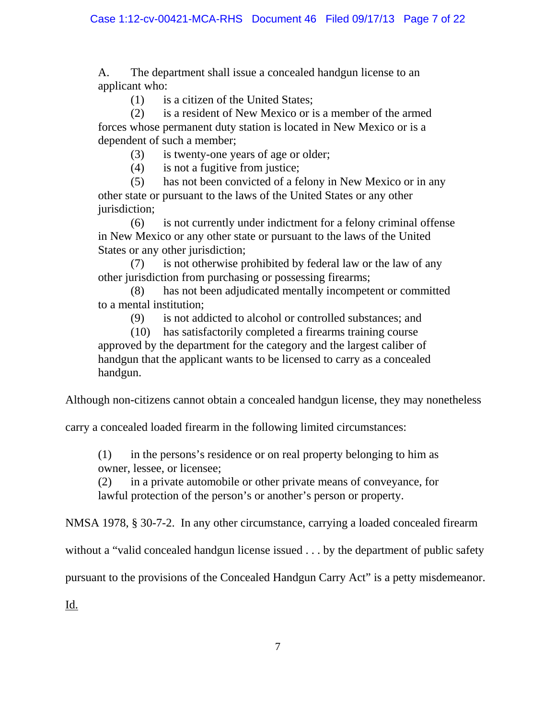A. The department shall issue a concealed handgun license to an applicant who:

(1) is a citizen of the United States;

(2) is a resident of New Mexico or is a member of the armed forces whose permanent duty station is located in New Mexico or is a dependent of such a member;

(3) is twenty-one years of age or older;

(4) is not a fugitive from justice;

(5) has not been convicted of a felony in New Mexico or in any other state or pursuant to the laws of the United States or any other jurisdiction;

(6) is not currently under indictment for a felony criminal offense in New Mexico or any other state or pursuant to the laws of the United States or any other jurisdiction;

(7) is not otherwise prohibited by federal law or the law of any other jurisdiction from purchasing or possessing firearms;

(8) has not been adjudicated mentally incompetent or committed to a mental institution;

(9) is not addicted to alcohol or controlled substances; and

(10) has satisfactorily completed a firearms training course approved by the department for the category and the largest caliber of handgun that the applicant wants to be licensed to carry as a concealed handgun.

Although non-citizens cannot obtain a concealed handgun license, they may nonetheless

carry a concealed loaded firearm in the following limited circumstances:

(1) in the persons's residence or on real property belonging to him as owner, lessee, or licensee;

(2) in a private automobile or other private means of conveyance, for lawful protection of the person's or another's person or property.

NMSA 1978, § 30-7-2. In any other circumstance, carrying a loaded concealed firearm

without a "valid concealed handgun license issued . . . by the department of public safety

pursuant to the provisions of the Concealed Handgun Carry Act" is a petty misdemeanor.

Id.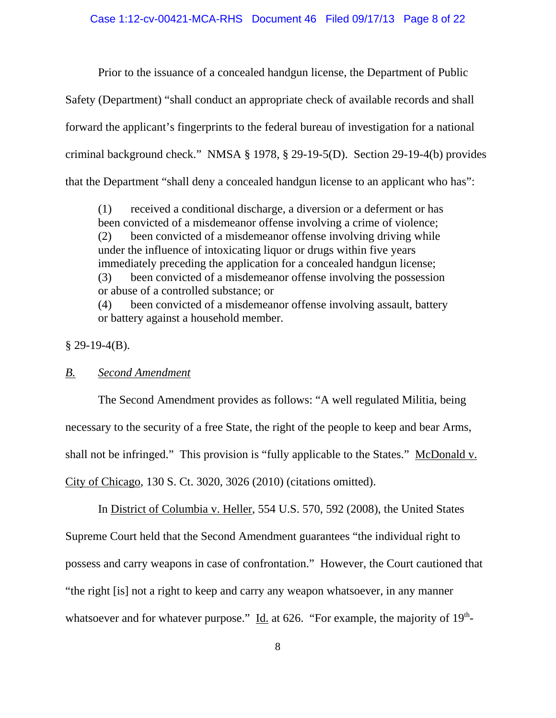Prior to the issuance of a concealed handgun license, the Department of Public

Safety (Department) "shall conduct an appropriate check of available records and shall forward the applicant's fingerprints to the federal bureau of investigation for a national criminal background check." NMSA § 1978, § 29-19-5(D). Section 29-19-4(b) provides that the Department "shall deny a concealed handgun license to an applicant who has":

(1) received a conditional discharge, a diversion or a deferment or has been convicted of a misdemeanor offense involving a crime of violence; (2) been convicted of a misdemeanor offense involving driving while under the influence of intoxicating liquor or drugs within five years immediately preceding the application for a concealed handgun license; (3) been convicted of a misdemeanor offense involving the possession or abuse of a controlled substance; or

(4) been convicted of a misdemeanor offense involving assault, battery or battery against a household member.

 $§$  29-19-4(B).

## *B. Second Amendment*

The Second Amendment provides as follows: "A well regulated Militia, being necessary to the security of a free State, the right of the people to keep and bear Arms, shall not be infringed." This provision is "fully applicable to the States." McDonald v. City of Chicago, 130 S. Ct. 3020, 3026 (2010) (citations omitted).

In District of Columbia v. Heller, 554 U.S. 570, 592 (2008), the United States Supreme Court held that the Second Amendment guarantees "the individual right to possess and carry weapons in case of confrontation." However, the Court cautioned that "the right [is] not a right to keep and carry any weapon whatsoever, in any manner whatsoever and for whatever purpose." Id. at  $626$ . "For example, the majority of  $19<sup>th</sup>$ -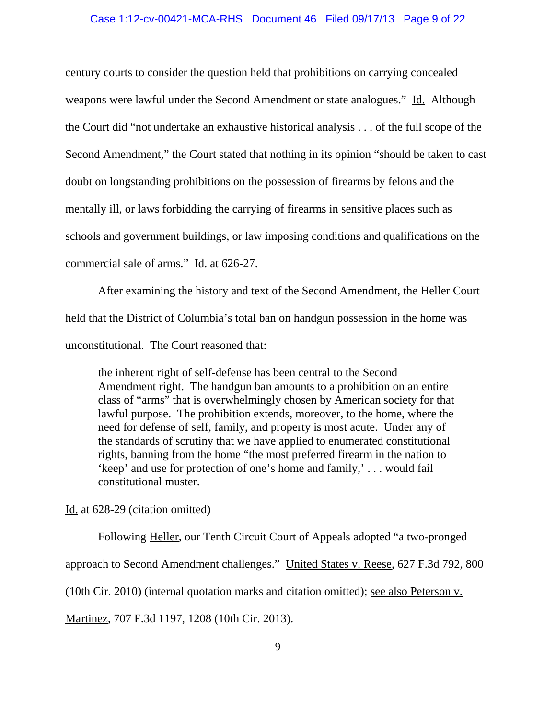#### Case 1:12-cv-00421-MCA-RHS Document 46 Filed 09/17/13 Page 9 of 22

century courts to consider the question held that prohibitions on carrying concealed weapons were lawful under the Second Amendment or state analogues." Id. Although the Court did "not undertake an exhaustive historical analysis . . . of the full scope of the Second Amendment," the Court stated that nothing in its opinion "should be taken to cast doubt on longstanding prohibitions on the possession of firearms by felons and the mentally ill, or laws forbidding the carrying of firearms in sensitive places such as schools and government buildings, or law imposing conditions and qualifications on the commercial sale of arms." Id. at 626-27.

After examining the history and text of the Second Amendment, the Heller Court held that the District of Columbia's total ban on handgun possession in the home was unconstitutional. The Court reasoned that:

the inherent right of self-defense has been central to the Second Amendment right. The handgun ban amounts to a prohibition on an entire class of "arms" that is overwhelmingly chosen by American society for that lawful purpose. The prohibition extends, moreover, to the home, where the need for defense of self, family, and property is most acute. Under any of the standards of scrutiny that we have applied to enumerated constitutional rights, banning from the home "the most preferred firearm in the nation to 'keep' and use for protection of one's home and family,' . . . would fail constitutional muster.

Id. at 628-29 (citation omitted)

Following Heller, our Tenth Circuit Court of Appeals adopted "a two-pronged approach to Second Amendment challenges." United States v. Reese, 627 F.3d 792, 800 (10th Cir. 2010) (internal quotation marks and citation omitted); see also Peterson v. Martinez, 707 F.3d 1197, 1208 (10th Cir. 2013).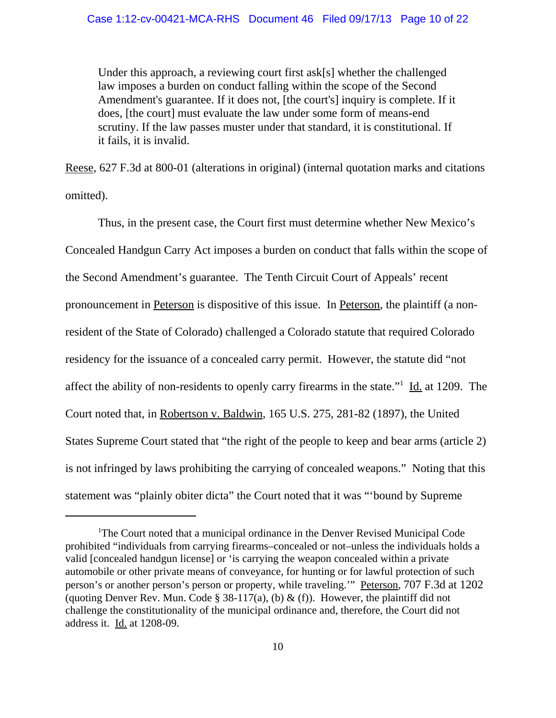Under this approach, a reviewing court first ask[s] whether the challenged law imposes a burden on conduct falling within the scope of the Second Amendment's guarantee. If it does not, [the court's] inquiry is complete. If it does, [the court] must evaluate the law under some form of means-end scrutiny. If the law passes muster under that standard, it is constitutional. If it fails, it is invalid.

Reese, 627 F.3d at 800-01 (alterations in original) (internal quotation marks and citations omitted).

Thus, in the present case, the Court first must determine whether New Mexico's Concealed Handgun Carry Act imposes a burden on conduct that falls within the scope of the Second Amendment's guarantee. The Tenth Circuit Court of Appeals' recent pronouncement in Peterson is dispositive of this issue. In Peterson, the plaintiff (a nonresident of the State of Colorado) challenged a Colorado statute that required Colorado residency for the issuance of a concealed carry permit. However, the statute did "not affect the ability of non-residents to openly carry firearms in the state."<sup>1</sup> Id. at 1209. The Court noted that, in Robertson v. Baldwin, 165 U.S. 275, 281-82 (1897), the United States Supreme Court stated that "the right of the people to keep and bear arms (article 2) is not infringed by laws prohibiting the carrying of concealed weapons." Noting that this statement was "plainly obiter dicta" the Court noted that it was "'bound by Supreme

<sup>&</sup>lt;sup>1</sup>The Court noted that a municipal ordinance in the Denver Revised Municipal Code prohibited "individuals from carrying firearms–concealed or not–unless the individuals holds a valid [concealed handgun license] or 'is carrying the weapon concealed within a private automobile or other private means of conveyance, for hunting or for lawful protection of such person's or another person's person or property, while traveling.'" Peterson, 707 F.3d at 1202 (quoting Denver Rev. Mun. Code § 38-117(a), (b) & (f)). However, the plaintiff did not challenge the constitutionality of the municipal ordinance and, therefore, the Court did not address it. Id. at 1208-09.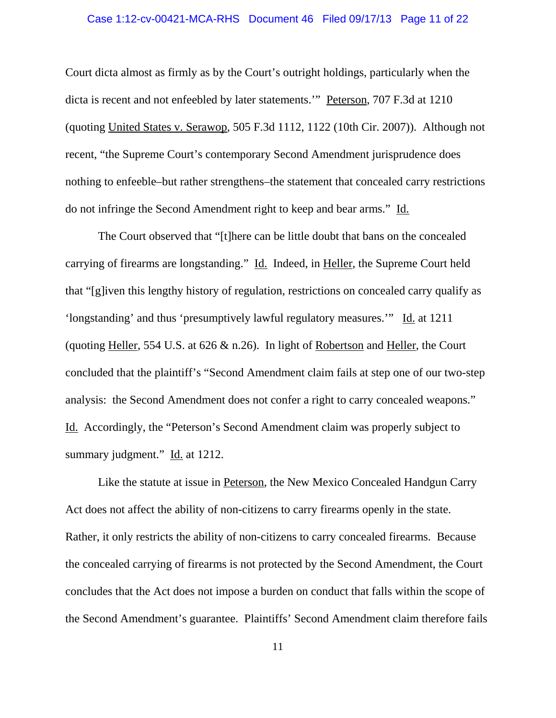#### Case 1:12-cv-00421-MCA-RHS Document 46 Filed 09/17/13 Page 11 of 22

Court dicta almost as firmly as by the Court's outright holdings, particularly when the dicta is recent and not enfeebled by later statements.'" Peterson, 707 F.3d at 1210 (quoting United States v. Serawop, 505 F.3d 1112, 1122 (10th Cir. 2007)). Although not recent, "the Supreme Court's contemporary Second Amendment jurisprudence does nothing to enfeeble–but rather strengthens–the statement that concealed carry restrictions do not infringe the Second Amendment right to keep and bear arms." Id.

The Court observed that "[t]here can be little doubt that bans on the concealed carrying of firearms are longstanding." Id. Indeed, in Heller, the Supreme Court held that "[g]iven this lengthy history of regulation, restrictions on concealed carry qualify as 'longstanding' and thus 'presumptively lawful regulatory measures.'" Id. at 1211 (quoting Heller, 554 U.S. at 626 & n.26). In light of Robertson and Heller, the Court concluded that the plaintiff's "Second Amendment claim fails at step one of our two-step analysis: the Second Amendment does not confer a right to carry concealed weapons." Id. Accordingly, the "Peterson's Second Amendment claim was properly subject to summary judgment." Id. at 1212.

Like the statute at issue in **Peterson**, the New Mexico Concealed Handgun Carry Act does not affect the ability of non-citizens to carry firearms openly in the state. Rather, it only restricts the ability of non-citizens to carry concealed firearms. Because the concealed carrying of firearms is not protected by the Second Amendment, the Court concludes that the Act does not impose a burden on conduct that falls within the scope of the Second Amendment's guarantee. Plaintiffs' Second Amendment claim therefore fails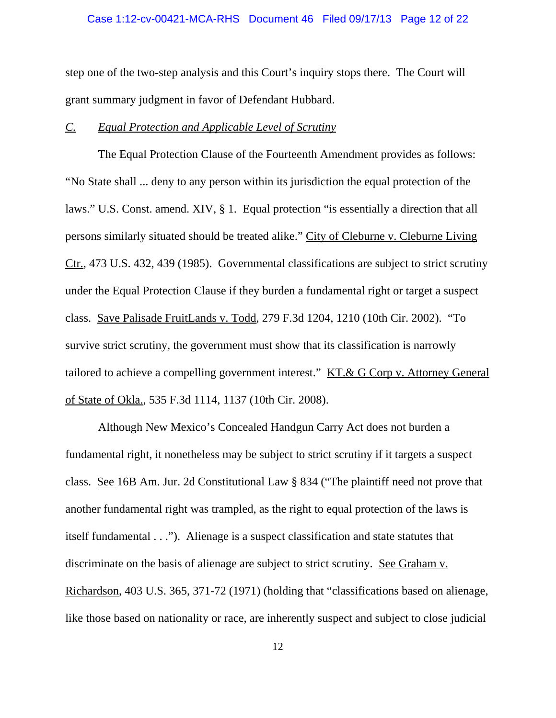#### Case 1:12-cv-00421-MCA-RHS Document 46 Filed 09/17/13 Page 12 of 22

step one of the two-step analysis and this Court's inquiry stops there. The Court will grant summary judgment in favor of Defendant Hubbard.

## *C. Equal Protection and Applicable Level of Scrutiny*

The Equal Protection Clause of the Fourteenth Amendment provides as follows: "No State shall ... deny to any person within its jurisdiction the equal protection of the laws." U.S. Const. amend. XIV, § 1. Equal protection "is essentially a direction that all persons similarly situated should be treated alike." City of Cleburne v. Cleburne Living Ctr., 473 U.S. 432, 439 (1985). Governmental classifications are subject to strict scrutiny under the Equal Protection Clause if they burden a fundamental right or target a suspect class. Save Palisade FruitLands v. Todd, 279 F.3d 1204, 1210 (10th Cir. 2002). "To survive strict scrutiny, the government must show that its classification is narrowly tailored to achieve a compelling government interest." KT.& G Corp v. Attorney General of State of Okla., 535 F.3d 1114, 1137 (10th Cir. 2008).

Although New Mexico's Concealed Handgun Carry Act does not burden a fundamental right, it nonetheless may be subject to strict scrutiny if it targets a suspect class. See 16B Am. Jur. 2d Constitutional Law § 834 ("The plaintiff need not prove that another fundamental right was trampled, as the right to equal protection of the laws is itself fundamental . . ."). Alienage is a suspect classification and state statutes that discriminate on the basis of alienage are subject to strict scrutiny. See Graham v. Richardson, 403 U.S. 365, 371-72 (1971) (holding that "classifications based on alienage, like those based on nationality or race, are inherently suspect and subject to close judicial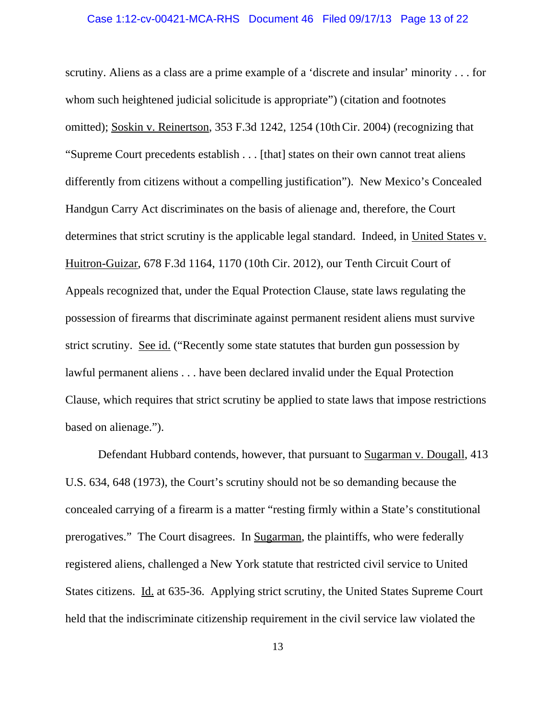## Case 1:12-cv-00421-MCA-RHS Document 46 Filed 09/17/13 Page 13 of 22

scrutiny. Aliens as a class are a prime example of a 'discrete and insular' minority . . . for whom such heightened judicial solicitude is appropriate") (citation and footnotes omitted); Soskin v. Reinertson, 353 F.3d 1242, 1254 (10thCir. 2004) (recognizing that "Supreme Court precedents establish . . . [that] states on their own cannot treat aliens differently from citizens without a compelling justification"). New Mexico's Concealed Handgun Carry Act discriminates on the basis of alienage and, therefore, the Court determines that strict scrutiny is the applicable legal standard. Indeed, in United States v. Huitron-Guizar, 678 F.3d 1164, 1170 (10th Cir. 2012), our Tenth Circuit Court of Appeals recognized that, under the Equal Protection Clause, state laws regulating the possession of firearms that discriminate against permanent resident aliens must survive strict scrutiny. See id. ("Recently some state statutes that burden gun possession by lawful permanent aliens . . . have been declared invalid under the Equal Protection Clause, which requires that strict scrutiny be applied to state laws that impose restrictions based on alienage.").

Defendant Hubbard contends, however, that pursuant to Sugarman v. Dougall, 413 U.S. 634, 648 (1973), the Court's scrutiny should not be so demanding because the concealed carrying of a firearm is a matter "resting firmly within a State's constitutional prerogatives." The Court disagrees. In Sugarman, the plaintiffs, who were federally registered aliens, challenged a New York statute that restricted civil service to United States citizens. Id. at 635-36. Applying strict scrutiny, the United States Supreme Court held that the indiscriminate citizenship requirement in the civil service law violated the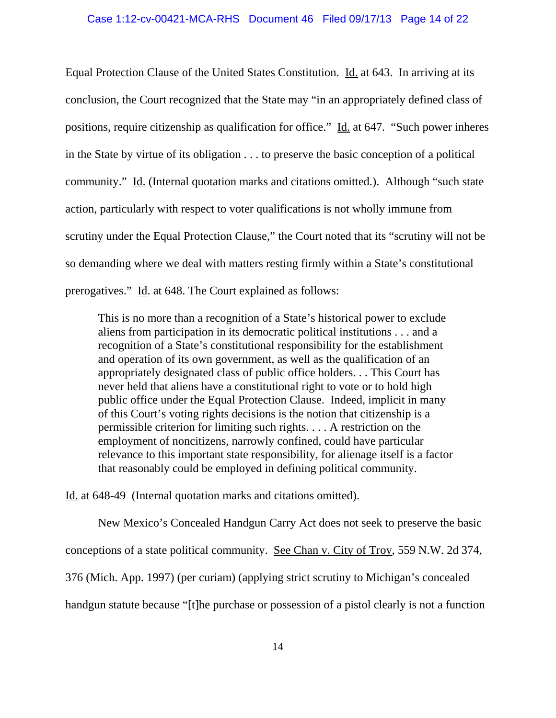#### Case 1:12-cv-00421-MCA-RHS Document 46 Filed 09/17/13 Page 14 of 22

Equal Protection Clause of the United States Constitution. Id. at 643. In arriving at its conclusion, the Court recognized that the State may "in an appropriately defined class of positions, require citizenship as qualification for office." Id. at 647. "Such power inheres in the State by virtue of its obligation . . . to preserve the basic conception of a political community." Id. (Internal quotation marks and citations omitted.). Although "such state action, particularly with respect to voter qualifications is not wholly immune from scrutiny under the Equal Protection Clause," the Court noted that its "scrutiny will not be so demanding where we deal with matters resting firmly within a State's constitutional prerogatives." Id. at 648. The Court explained as follows:

This is no more than a recognition of a State's historical power to exclude aliens from participation in its democratic political institutions . . . and a recognition of a State's constitutional responsibility for the establishment and operation of its own government, as well as the qualification of an appropriately designated class of public office holders. . . This Court has never held that aliens have a constitutional right to vote or to hold high public office under the Equal Protection Clause. Indeed, implicit in many of this Court's voting rights decisions is the notion that citizenship is a permissible criterion for limiting such rights. . . . A restriction on the employment of noncitizens, narrowly confined, could have particular relevance to this important state responsibility, for alienage itself is a factor that reasonably could be employed in defining political community.

Id. at 648-49 (Internal quotation marks and citations omitted).

New Mexico's Concealed Handgun Carry Act does not seek to preserve the basic conceptions of a state political community. See Chan v. City of Troy, 559 N.W. 2d 374, 376 (Mich. App. 1997) (per curiam) (applying strict scrutiny to Michigan's concealed handgun statute because "[t]he purchase or possession of a pistol clearly is not a function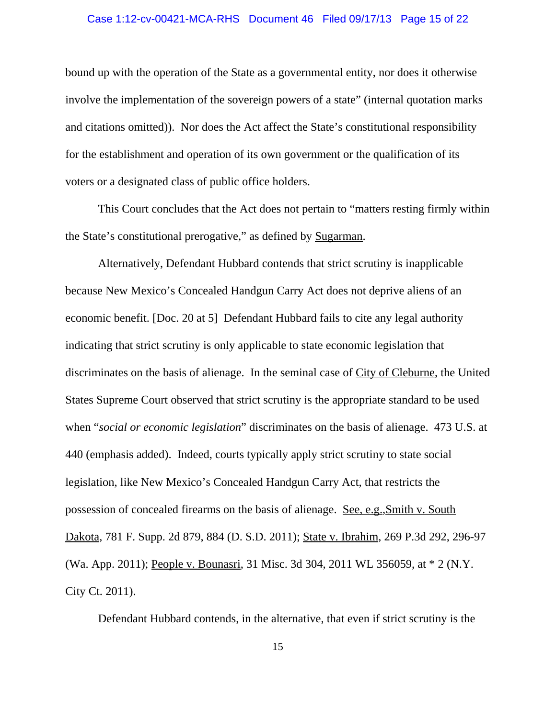#### Case 1:12-cv-00421-MCA-RHS Document 46 Filed 09/17/13 Page 15 of 22

bound up with the operation of the State as a governmental entity, nor does it otherwise involve the implementation of the sovereign powers of a state" (internal quotation marks and citations omitted)). Nor does the Act affect the State's constitutional responsibility for the establishment and operation of its own government or the qualification of its voters or a designated class of public office holders.

This Court concludes that the Act does not pertain to "matters resting firmly within the State's constitutional prerogative," as defined by Sugarman.

Alternatively, Defendant Hubbard contends that strict scrutiny is inapplicable because New Mexico's Concealed Handgun Carry Act does not deprive aliens of an economic benefit. [Doc. 20 at 5] Defendant Hubbard fails to cite any legal authority indicating that strict scrutiny is only applicable to state economic legislation that discriminates on the basis of alienage. In the seminal case of City of Cleburne, the United States Supreme Court observed that strict scrutiny is the appropriate standard to be used when "*social or economic legislation*" discriminates on the basis of alienage. 473 U.S. at 440 (emphasis added). Indeed, courts typically apply strict scrutiny to state social legislation, like New Mexico's Concealed Handgun Carry Act, that restricts the possession of concealed firearms on the basis of alienage. See, e.g.,Smith v. South Dakota, 781 F. Supp. 2d 879, 884 (D. S.D. 2011); State v. Ibrahim, 269 P.3d 292, 296-97 (Wa. App. 2011); People v. Bounasri, 31 Misc. 3d 304, 2011 WL 356059, at \* 2 (N.Y. City Ct. 2011).

Defendant Hubbard contends, in the alternative, that even if strict scrutiny is the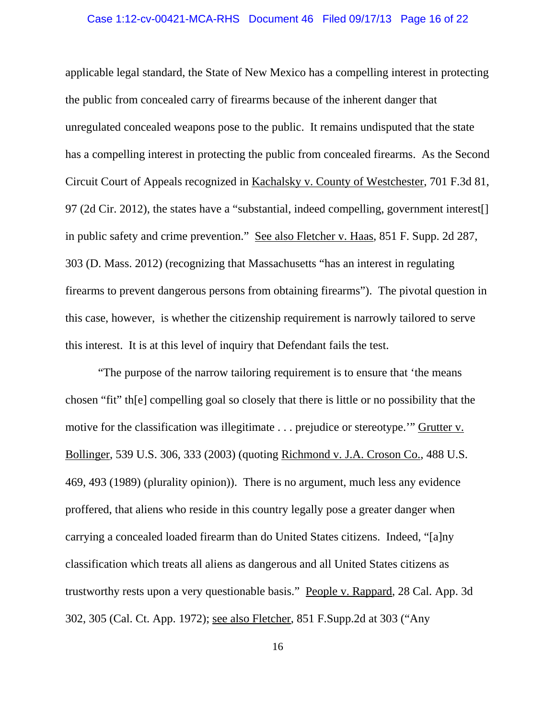#### Case 1:12-cv-00421-MCA-RHS Document 46 Filed 09/17/13 Page 16 of 22

applicable legal standard, the State of New Mexico has a compelling interest in protecting the public from concealed carry of firearms because of the inherent danger that unregulated concealed weapons pose to the public. It remains undisputed that the state has a compelling interest in protecting the public from concealed firearms. As the Second Circuit Court of Appeals recognized in Kachalsky v. County of Westchester, 701 F.3d 81, 97 (2d Cir. 2012), the states have a "substantial, indeed compelling, government interest[] in public safety and crime prevention." See also Fletcher v. Haas, 851 F. Supp. 2d 287, 303 (D. Mass. 2012) (recognizing that Massachusetts "has an interest in regulating firearms to prevent dangerous persons from obtaining firearms"). The pivotal question in this case, however, is whether the citizenship requirement is narrowly tailored to serve this interest. It is at this level of inquiry that Defendant fails the test.

"The purpose of the narrow tailoring requirement is to ensure that 'the means chosen "fit" th[e] compelling goal so closely that there is little or no possibility that the motive for the classification was illegitimate . . . prejudice or stereotype." Grutter v. Bollinger, 539 U.S. 306, 333 (2003) (quoting Richmond v. J.A. Croson Co., 488 U.S. 469, 493 (1989) (plurality opinion)). There is no argument, much less any evidence proffered, that aliens who reside in this country legally pose a greater danger when carrying a concealed loaded firearm than do United States citizens. Indeed, "[a]ny classification which treats all aliens as dangerous and all United States citizens as trustworthy rests upon a very questionable basis." People v. Rappard, 28 Cal. App. 3d 302, 305 (Cal. Ct. App. 1972); see also Fletcher, 851 F.Supp.2d at 303 ("Any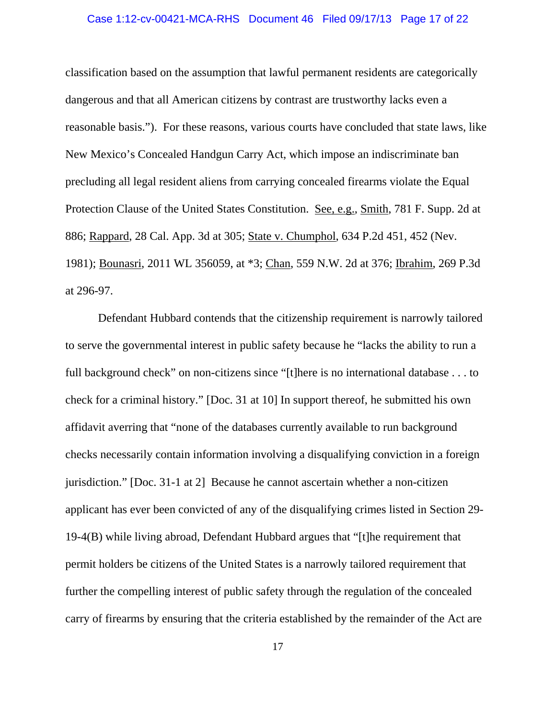#### Case 1:12-cv-00421-MCA-RHS Document 46 Filed 09/17/13 Page 17 of 22

classification based on the assumption that lawful permanent residents are categorically dangerous and that all American citizens by contrast are trustworthy lacks even a reasonable basis."). For these reasons, various courts have concluded that state laws, like New Mexico's Concealed Handgun Carry Act, which impose an indiscriminate ban precluding all legal resident aliens from carrying concealed firearms violate the Equal Protection Clause of the United States Constitution. See, e.g., Smith, 781 F. Supp. 2d at 886; Rappard, 28 Cal. App. 3d at 305; State v. Chumphol, 634 P.2d 451, 452 (Nev. 1981); Bounasri, 2011 WL 356059, at \*3; Chan, 559 N.W. 2d at 376; Ibrahim, 269 P.3d at 296-97.

Defendant Hubbard contends that the citizenship requirement is narrowly tailored to serve the governmental interest in public safety because he "lacks the ability to run a full background check" on non-citizens since "[t]here is no international database . . . to check for a criminal history." [Doc. 31 at 10] In support thereof, he submitted his own affidavit averring that "none of the databases currently available to run background checks necessarily contain information involving a disqualifying conviction in a foreign jurisdiction." [Doc. 31-1 at 2] Because he cannot ascertain whether a non-citizen applicant has ever been convicted of any of the disqualifying crimes listed in Section 29- 19-4(B) while living abroad, Defendant Hubbard argues that "[t]he requirement that permit holders be citizens of the United States is a narrowly tailored requirement that further the compelling interest of public safety through the regulation of the concealed carry of firearms by ensuring that the criteria established by the remainder of the Act are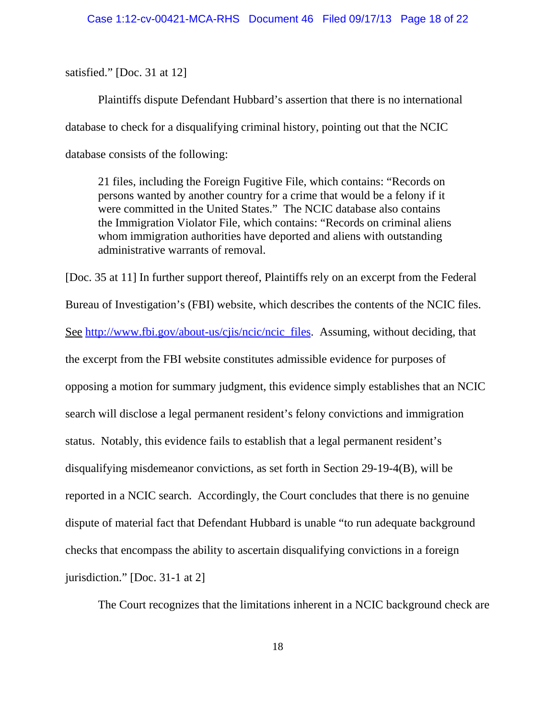satisfied." [Doc. 31 at 12]

Plaintiffs dispute Defendant Hubbard's assertion that there is no international database to check for a disqualifying criminal history, pointing out that the NCIC database consists of the following:

21 files, including the Foreign Fugitive File, which contains: "Records on persons wanted by another country for a crime that would be a felony if it were committed in the United States." The NCIC database also contains the Immigration Violator File, which contains: "Records on criminal aliens whom immigration authorities have deported and aliens with outstanding administrative warrants of removal.

[Doc. 35 at 11] In further support thereof, Plaintiffs rely on an excerpt from the Federal Bureau of Investigation's (FBI) website, which describes the contents of the NCIC files. See http://www.fbi.gov/about-us/cjis/ncic/ncic\_files. Assuming, without deciding, that the excerpt from the FBI website constitutes admissible evidence for purposes of opposing a motion for summary judgment, this evidence simply establishes that an NCIC search will disclose a legal permanent resident's felony convictions and immigration status. Notably, this evidence fails to establish that a legal permanent resident's disqualifying misdemeanor convictions, as set forth in Section 29-19-4(B), will be reported in a NCIC search. Accordingly, the Court concludes that there is no genuine dispute of material fact that Defendant Hubbard is unable "to run adequate background checks that encompass the ability to ascertain disqualifying convictions in a foreign jurisdiction." [Doc. 31-1 at 2]

The Court recognizes that the limitations inherent in a NCIC background check are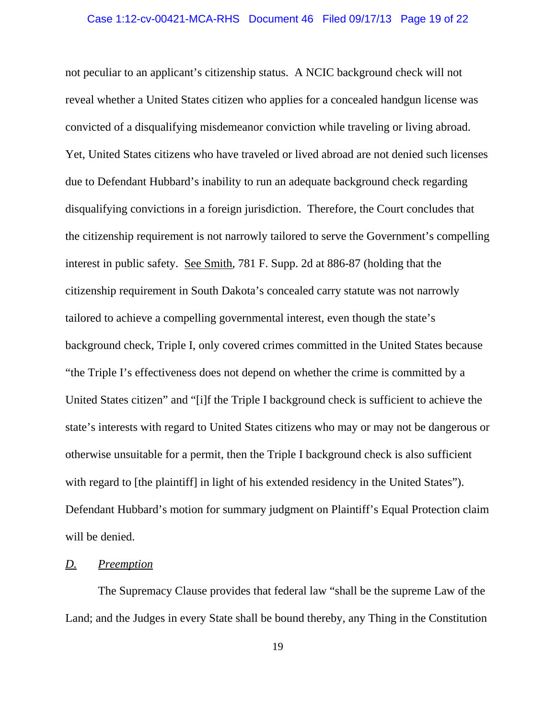#### Case 1:12-cv-00421-MCA-RHS Document 46 Filed 09/17/13 Page 19 of 22

not peculiar to an applicant's citizenship status. A NCIC background check will not reveal whether a United States citizen who applies for a concealed handgun license was convicted of a disqualifying misdemeanor conviction while traveling or living abroad. Yet, United States citizens who have traveled or lived abroad are not denied such licenses due to Defendant Hubbard's inability to run an adequate background check regarding disqualifying convictions in a foreign jurisdiction. Therefore, the Court concludes that the citizenship requirement is not narrowly tailored to serve the Government's compelling interest in public safety. See Smith, 781 F. Supp. 2d at 886-87 (holding that the citizenship requirement in South Dakota's concealed carry statute was not narrowly tailored to achieve a compelling governmental interest, even though the state's background check, Triple I, only covered crimes committed in the United States because "the Triple I's effectiveness does not depend on whether the crime is committed by a United States citizen" and "[i]f the Triple I background check is sufficient to achieve the state's interests with regard to United States citizens who may or may not be dangerous or otherwise unsuitable for a permit, then the Triple I background check is also sufficient with regard to [the plaintiff] in light of his extended residency in the United States"). Defendant Hubbard's motion for summary judgment on Plaintiff's Equal Protection claim will be denied.

## *D. Preemption*

The Supremacy Clause provides that federal law "shall be the supreme Law of the Land; and the Judges in every State shall be bound thereby, any Thing in the Constitution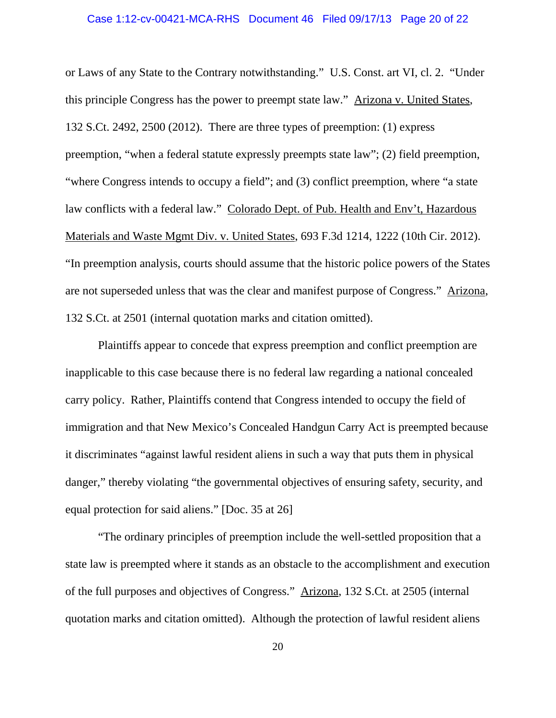## Case 1:12-cv-00421-MCA-RHS Document 46 Filed 09/17/13 Page 20 of 22

or Laws of any State to the Contrary notwithstanding." U.S. Const. art VI, cl. 2. "Under this principle Congress has the power to preempt state law." Arizona v. United States, 132 S.Ct. 2492, 2500 (2012). There are three types of preemption: (1) express preemption, "when a federal statute expressly preempts state law"; (2) field preemption, "where Congress intends to occupy a field"; and (3) conflict preemption, where "a state law conflicts with a federal law." Colorado Dept. of Pub. Health and Env't, Hazardous Materials and Waste Mgmt Div. v. United States, 693 F.3d 1214, 1222 (10th Cir. 2012). "In preemption analysis, courts should assume that the historic police powers of the States are not superseded unless that was the clear and manifest purpose of Congress." Arizona, 132 S.Ct. at 2501 (internal quotation marks and citation omitted).

Plaintiffs appear to concede that express preemption and conflict preemption are inapplicable to this case because there is no federal law regarding a national concealed carry policy. Rather, Plaintiffs contend that Congress intended to occupy the field of immigration and that New Mexico's Concealed Handgun Carry Act is preempted because it discriminates "against lawful resident aliens in such a way that puts them in physical danger," thereby violating "the governmental objectives of ensuring safety, security, and equal protection for said aliens." [Doc. 35 at 26]

"The ordinary principles of preemption include the well-settled proposition that a state law is preempted where it stands as an obstacle to the accomplishment and execution of the full purposes and objectives of Congress." Arizona, 132 S.Ct. at 2505 (internal quotation marks and citation omitted). Although the protection of lawful resident aliens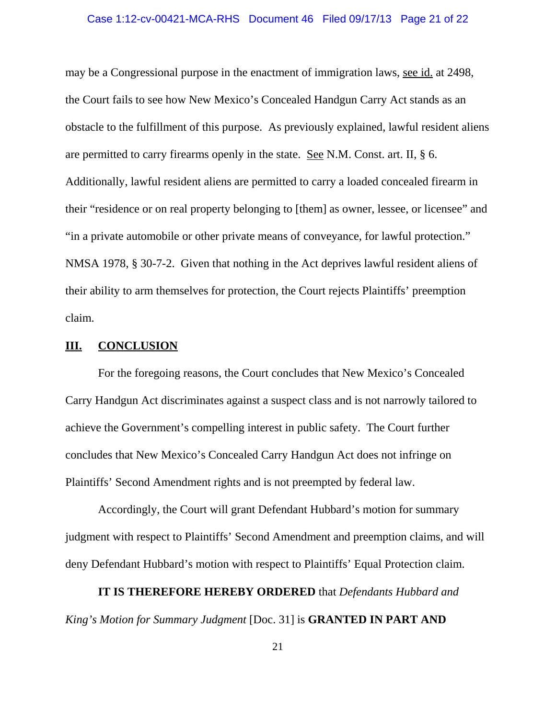#### Case 1:12-cv-00421-MCA-RHS Document 46 Filed 09/17/13 Page 21 of 22

may be a Congressional purpose in the enactment of immigration laws, see id. at 2498, the Court fails to see how New Mexico's Concealed Handgun Carry Act stands as an obstacle to the fulfillment of this purpose. As previously explained, lawful resident aliens are permitted to carry firearms openly in the state. See N.M. Const. art. II, § 6. Additionally, lawful resident aliens are permitted to carry a loaded concealed firearm in their "residence or on real property belonging to [them] as owner, lessee, or licensee" and "in a private automobile or other private means of conveyance, for lawful protection." NMSA 1978, § 30-7-2. Given that nothing in the Act deprives lawful resident aliens of their ability to arm themselves for protection, the Court rejects Plaintiffs' preemption claim.

## **III. CONCLUSION**

For the foregoing reasons, the Court concludes that New Mexico's Concealed Carry Handgun Act discriminates against a suspect class and is not narrowly tailored to achieve the Government's compelling interest in public safety. The Court further concludes that New Mexico's Concealed Carry Handgun Act does not infringe on Plaintiffs' Second Amendment rights and is not preempted by federal law.

Accordingly, the Court will grant Defendant Hubbard's motion for summary judgment with respect to Plaintiffs' Second Amendment and preemption claims, and will deny Defendant Hubbard's motion with respect to Plaintiffs' Equal Protection claim.

# **IT IS THEREFORE HEREBY ORDERED** that *Defendants Hubbard and King's Motion for Summary Judgment* [Doc. 31] is **GRANTED IN PART AND**